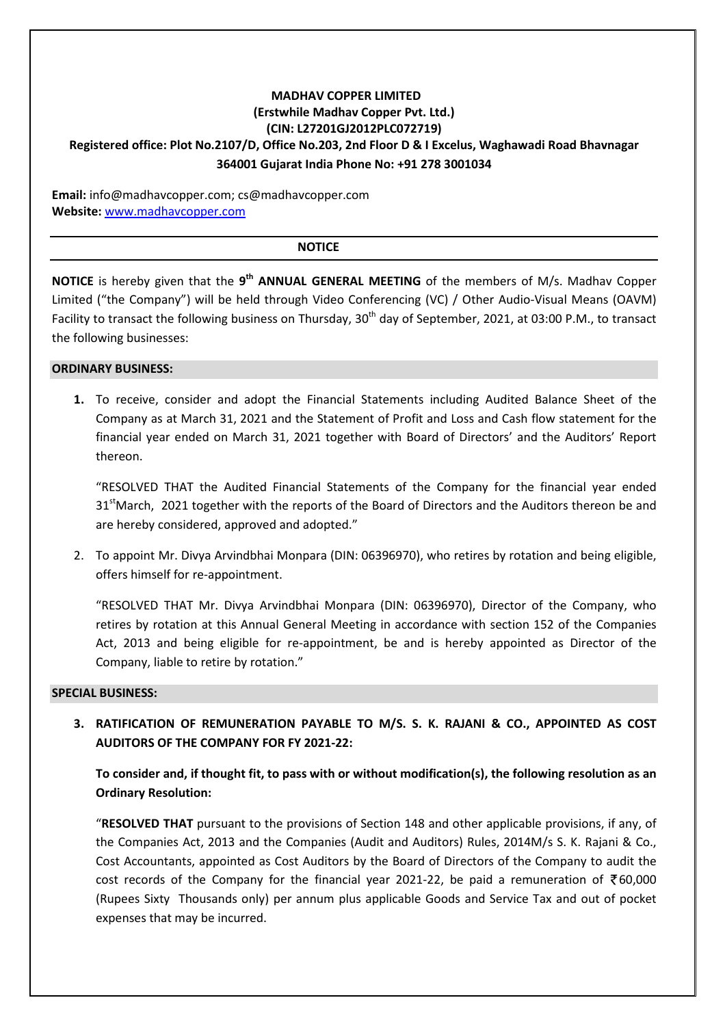## **MADHAV COPPER LIMITED (Erstwhile Madhav Copper Pvt. Ltd.) (CIN: L27201GJ2012PLC072719) Registered office: Plot No.2107/D, Office No.203, 2nd Floor D & I Excelus, Waghawadi Road Bhavnagar 364001 Gujarat India Phone No: +91 278 3001034**

**Email:** info@madhavcopper.com; cs@madhavcopper.com **Website:** www.madhavcopper.com

#### **NOTICE**

NOTICE is hereby given that the 9<sup>th</sup> ANNUAL GENERAL MEETING of the members of M/s. Madhav Copper Limited ("the Company") will be held through Video Conferencing (VC) / Other Audio-Visual Means (OAVM) Facility to transact the following business on Thursday, 30<sup>th</sup> day of September, 2021, at 03:00 P.M., to transact the following businesses:

#### **ORDINARY BUSINESS:**

**1.** To receive, consider and adopt the Financial Statements including Audited Balance Sheet of the Company as at March 31, 2021 and the Statement of Profit and Loss and Cash flow statement for the financial year ended on March 31, 2021 together with Board of Directors' and the Auditors' Report thereon.

"RESOLVED THAT the Audited Financial Statements of the Company for the financial year ended 31<sup>st</sup>March, 2021 together with the reports of the Board of Directors and the Auditors thereon be and are hereby considered, approved and adopted."

2. To appoint Mr. Divya Arvindbhai Monpara (DIN: 06396970), who retires by rotation and being eligible, offers himself for re-appointment.

"RESOLVED THAT Mr. Divya Arvindbhai Monpara (DIN: 06396970), Director of the Company, who retires by rotation at this Annual General Meeting in accordance with section 152 of the Companies Act, 2013 and being eligible for re-appointment, be and is hereby appointed as Director of the Company, liable to retire by rotation."

#### **SPECIAL BUSINESS:**

**3. RATIFICATION OF REMUNERATION PAYABLE TO M/S. S. K. RAJANI & CO., APPOINTED AS COST AUDITORS OF THE COMPANY FOR FY 2021-22:** 

**To consider and, if thought fit, to pass with or without modification(s), the following resolution as an Ordinary Resolution:** 

"**RESOLVED THAT** pursuant to the provisions of Section 148 and other applicable provisions, if any, of the Companies Act, 2013 and the Companies (Audit and Auditors) Rules, 2014M/s S. K. Rajani & Co., Cost Accountants, appointed as Cost Auditors by the Board of Directors of the Company to audit the cost records of the Company for the financial year 2021-22, be paid a remuneration of  $\bar{\bar{\xi}}$ 60,000 (Rupees Sixty Thousands only) per annum plus applicable Goods and Service Tax and out of pocket expenses that may be incurred.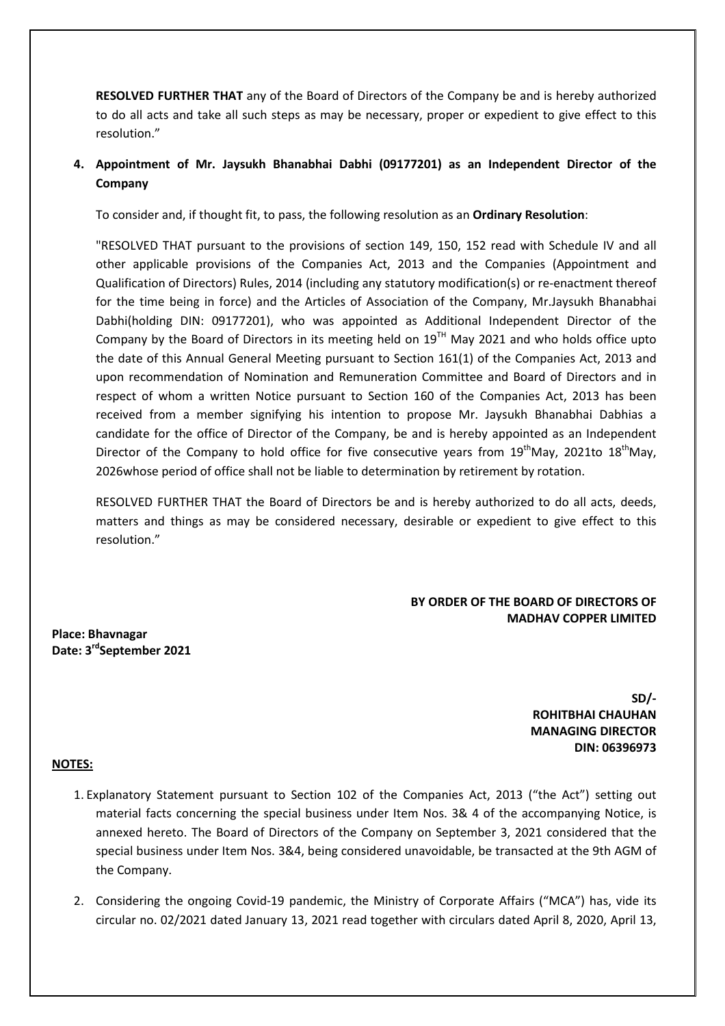**RESOLVED FURTHER THAT** any of the Board of Directors of the Company be and is hereby authorized to do all acts and take all such steps as may be necessary, proper or expedient to give effect to this resolution."

## **4. Appointment of Mr. Jaysukh Bhanabhai Dabhi (09177201) as an Independent Director of the Company**

To consider and, if thought fit, to pass, the following resolution as an **Ordinary Resolution**:

"RESOLVED THAT pursuant to the provisions of section 149, 150, 152 read with Schedule IV and all other applicable provisions of the Companies Act, 2013 and the Companies (Appointment and Qualification of Directors) Rules, 2014 (including any statutory modification(s) or re-enactment thereof for the time being in force) and the Articles of Association of the Company, Mr.Jaysukh Bhanabhai Dabhi(holding DIN: 09177201), who was appointed as Additional Independent Director of the Company by the Board of Directors in its meeting held on  $19<sup>TH</sup>$  May 2021 and who holds office upto the date of this Annual General Meeting pursuant to Section 161(1) of the Companies Act, 2013 and upon recommendation of Nomination and Remuneration Committee and Board of Directors and in respect of whom a written Notice pursuant to Section 160 of the Companies Act, 2013 has been received from a member signifying his intention to propose Mr. Jaysukh Bhanabhai Dabhias a candidate for the office of Director of the Company, be and is hereby appointed as an Independent Director of the Company to hold office for five consecutive years from  $19<sup>th</sup>May$ , 2021to  $18<sup>th</sup>May$ , 2026whose period of office shall not be liable to determination by retirement by rotation.

RESOLVED FURTHER THAT the Board of Directors be and is hereby authorized to do all acts, deeds, matters and things as may be considered necessary, desirable or expedient to give effect to this resolution."

#### **BY ORDER OF THE BOARD OF DIRECTORS OF MADHAV COPPER LIMITED**

**Place: Bhavnagar Date: 3rdSeptember 2021** 

> **SD/- ROHITBHAI CHAUHAN MANAGING DIRECTOR DIN: 06396973**

#### **NOTES:**

- 1. Explanatory Statement pursuant to Section 102 of the Companies Act, 2013 ("the Act") setting out material facts concerning the special business under Item Nos. 3& 4 of the accompanying Notice, is annexed hereto. The Board of Directors of the Company on September 3, 2021 considered that the special business under Item Nos. 3&4, being considered unavoidable, be transacted at the 9th AGM of the Company.
- 2. Considering the ongoing Covid-19 pandemic, the Ministry of Corporate Affairs ("MCA") has, vide its circular no. 02/2021 dated January 13, 2021 read together with circulars dated April 8, 2020, April 13,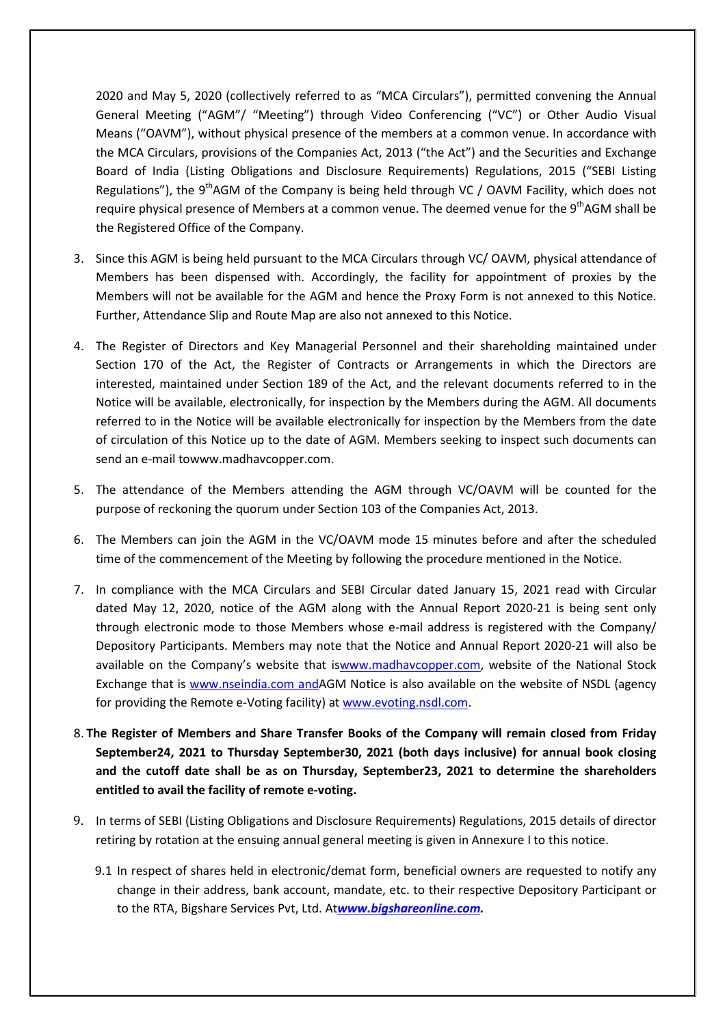2020 and May 5, 2020 (collectively referred to as "MCA Circulars"), permitted convening the Annual General Meeting ("AGM"/ "Meeting") through Video Conferencing ("VC") or Other Audio Visual Means ("OAVM"), without physical presence of the members at a common venue. In accordance with the MCA Circulars, provisions of the Companies Act, 2013 ("the Act") and the Securities and Exchange Board of India (Listing Obligations and Disclosure Requirements) Regulations, 2015 ("SEBI Listing Regulations"), the  $9<sup>th</sup>$ AGM of the Company is being held through VC / OAVM Facility, which does not require physical presence of Members at a common venue. The deemed venue for the 9<sup>th</sup>AGM shall be the Registered Office of the Company.

- 3. Since this AGM is being held pursuant to the MCA Circulars through VC/ OAVM, physical attendance of Members has been dispensed with. Accordingly, the facility for appointment of proxies by the Members will not be available for the AGM and hence the Proxy Form is not annexed to this Notice. Further, Attendance Slip and Route Map are also not annexed to this Notice.
- 4. The Register of Directors and Key Managerial Personnel and their shareholding maintained under Section 170 of the Act, the Register of Contracts or Arrangements in which the Directors are interested, maintained under Section 189 of the Act, and the relevant documents referred to in the Notice will be available, electronically, for inspection by the Members during the AGM. All documents referred to in the Notice will be available electronically for inspection by the Members from the date of circulation of this Notice up to the date of AGM. Members seeking to inspect such documents can send an e-mail towww.madhavcopper.com.
- 5. The attendance of the Members attending the AGM through VC/OAVM will be counted for the purpose of reckoning the quorum under Section 103 of the Companies Act, 2013.
- 6. The Members can join the AGM in the VC/OAVM mode 15 minutes before and after the scheduled time of the commencement of the Meeting by following the procedure mentioned in the Notice.
- 7. In compliance with the MCA Circulars and SEBI Circular dated January 15, 2021 read with Circular dated May 12, 2020, notice of the AGM along with the Annual Report 2020-21 is being sent only through electronic mode to those Members whose e-mail address is registered with the Company/ Depository Participants. Members may note that the Notice and Annual Report 2020-21 will also be available on the Company's website that iswww.madhavcopper.com, website of the National Stock Exchange that is www.nseindia.com andAGM Notice is also available on the website of NSDL (agency for providing the Remote e-Voting facility) at www.evoting.nsdl.com.
- 8. **The Register of Members and Share Transfer Books of the Company will remain closed from Friday September24, 2021 to Thursday September30, 2021 (both days inclusive) for annual book closing and the cutoff date shall be as on Thursday, September23, 2021 to determine the shareholders entitled to avail the facility of remote e-voting.**
- 9. In terms of SEBI (Listing Obligations and Disclosure Requirements) Regulations, 2015 details of director retiring by rotation at the ensuing annual general meeting is given in Annexure I to this notice.
	- 9.1 In respect of shares held in electronic/demat form, beneficial owners are requested to notify any change in their address, bank account, mandate, etc. to their respective Depository Participant or to the RTA, Bigshare Services Pvt, Ltd. At*www.bigshareonline.com.*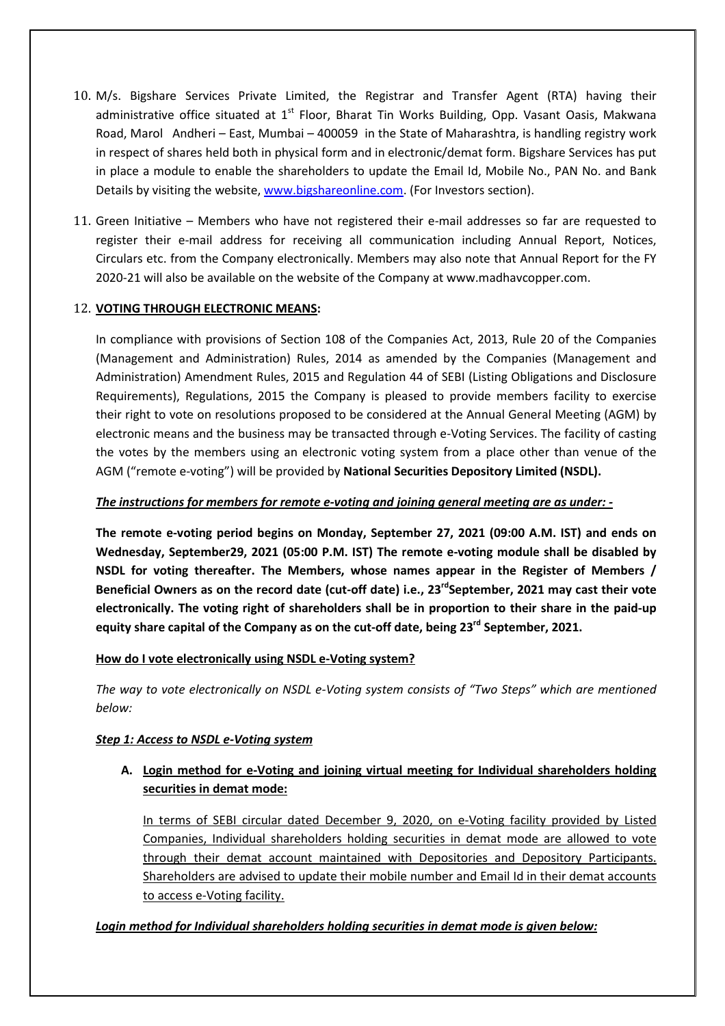- 10. M/s. Bigshare Services Private Limited, the Registrar and Transfer Agent (RTA) having their administrative office situated at  $1<sup>st</sup>$  Floor, Bharat Tin Works Building, Opp. Vasant Oasis, Makwana Road, Marol Andheri – East, Mumbai – 400059 in the State of Maharashtra, is handling registry work in respect of shares held both in physical form and in electronic/demat form. Bigshare Services has put in place a module to enable the shareholders to update the Email Id, Mobile No., PAN No. and Bank Details by visiting the website, www.bigshareonline.com. (For Investors section).
- 11. Green Initiative Members who have not registered their e-mail addresses so far are requested to register their e-mail address for receiving all communication including Annual Report, Notices, Circulars etc. from the Company electronically. Members may also note that Annual Report for the FY 2020-21 will also be available on the website of the Company at www.madhavcopper.com.

### 12. **VOTING THROUGH ELECTRONIC MEANS:**

In compliance with provisions of Section 108 of the Companies Act, 2013, Rule 20 of the Companies (Management and Administration) Rules, 2014 as amended by the Companies (Management and Administration) Amendment Rules, 2015 and Regulation 44 of SEBI (Listing Obligations and Disclosure Requirements), Regulations, 2015 the Company is pleased to provide members facility to exercise their right to vote on resolutions proposed to be considered at the Annual General Meeting (AGM) by electronic means and the business may be transacted through e-Voting Services. The facility of casting the votes by the members using an electronic voting system from a place other than venue of the AGM ("remote e-voting") will be provided by **National Securities Depository Limited (NSDL).**

### *The instructions for members for remote e-voting and joining general meeting are as under: -*

**The remote e-voting period begins on Monday, September 27, 2021 (09:00 A.M. IST) and ends on Wednesday, September29, 2021 (05:00 P.M. IST) The remote e-voting module shall be disabled by NSDL for voting thereafter. The Members, whose names appear in the Register of Members / Beneficial Owners as on the record date (cut-off date) i.e., 23rdSeptember, 2021 may cast their vote electronically. The voting right of shareholders shall be in proportion to their share in the paid-up equity share capital of the Company as on the cut-off date, being 23rd September, 2021.** 

#### **How do I vote electronically using NSDL e-Voting system?**

*The way to vote electronically on NSDL e-Voting system consists of "Two Steps" which are mentioned below:* 

### *Step 1: Access to NSDL e-Voting system*

**A. Login method for e-Voting and joining virtual meeting for Individual shareholders holding securities in demat mode:**

In terms of SEBI circular dated December 9, 2020, on e-Voting facility provided by Listed Companies, Individual shareholders holding securities in demat mode are allowed to vote through their demat account maintained with Depositories and Depository Participants. Shareholders are advised to update their mobile number and Email Id in their demat accounts to access e-Voting facility.

### *Login method for Individual shareholders holding securities in demat mode is given below:*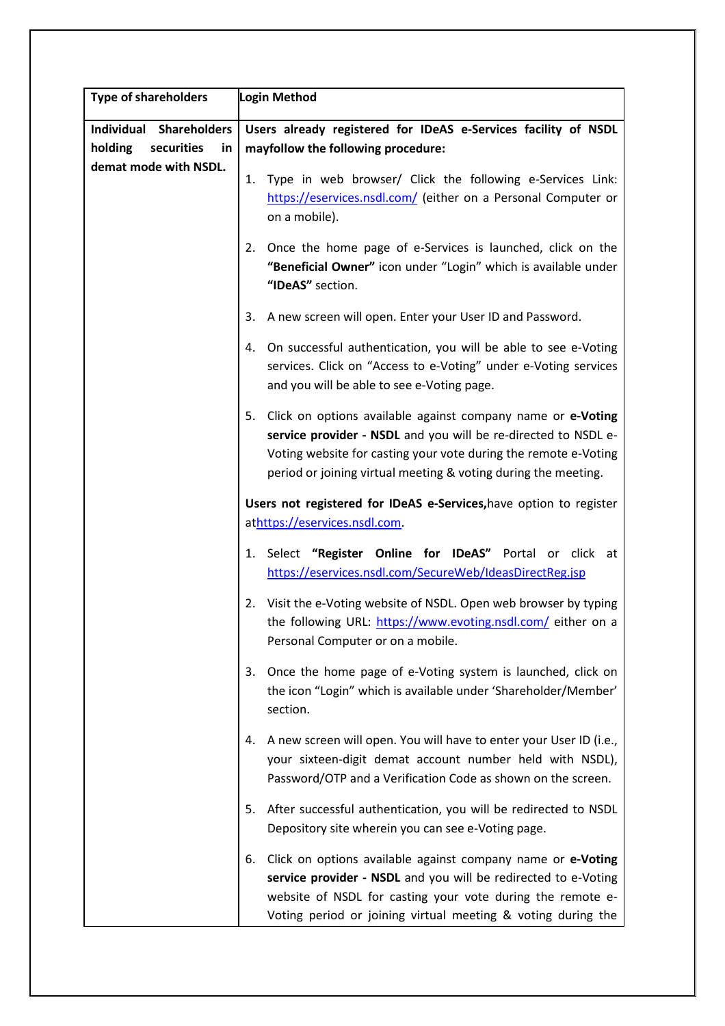| <b>Type of shareholders</b> | Login Method                                                                                                                                                                                                                                                             |  |
|-----------------------------|--------------------------------------------------------------------------------------------------------------------------------------------------------------------------------------------------------------------------------------------------------------------------|--|
| Individual Shareholders     | Users already registered for IDeAS e-Services facility of NSDL                                                                                                                                                                                                           |  |
| holding<br>securities<br>in | mayfollow the following procedure:                                                                                                                                                                                                                                       |  |
| demat mode with NSDL.       |                                                                                                                                                                                                                                                                          |  |
|                             | Type in web browser/ Click the following e-Services Link:<br>1.<br>https://eservices.nsdl.com/ (either on a Personal Computer or<br>on a mobile).                                                                                                                        |  |
|                             | Once the home page of e-Services is launched, click on the<br>2.<br>"Beneficial Owner" icon under "Login" which is available under<br>"IDeAS" section.                                                                                                                   |  |
|                             | 3. A new screen will open. Enter your User ID and Password.                                                                                                                                                                                                              |  |
|                             | 4. On successful authentication, you will be able to see e-Voting<br>services. Click on "Access to e-Voting" under e-Voting services<br>and you will be able to see e-Voting page.                                                                                       |  |
|                             | 5.<br>Click on options available against company name or e-Voting<br>service provider - NSDL and you will be re-directed to NSDL e-<br>Voting website for casting your vote during the remote e-Voting<br>period or joining virtual meeting & voting during the meeting. |  |
|                             | Users not registered for IDeAS e-Services, have option to register<br>athttps://eservices.nsdl.com.                                                                                                                                                                      |  |
|                             | Select "Register Online for IDeAS" Portal or click<br>at<br>1.<br>https://eservices.nsdl.com/SecureWeb/IdeasDirectReg.jsp                                                                                                                                                |  |
|                             | Visit the e-Voting website of NSDL. Open web browser by typing<br>2.<br>the following URL: https://www.evoting.nsdl.com/ either on a<br>Personal Computer or on a mobile.                                                                                                |  |
|                             | Once the home page of e-Voting system is launched, click on<br>3.<br>the icon "Login" which is available under 'Shareholder/Member'<br>section.                                                                                                                          |  |
|                             | A new screen will open. You will have to enter your User ID (i.e.,<br>4.<br>your sixteen-digit demat account number held with NSDL),<br>Password/OTP and a Verification Code as shown on the screen.                                                                     |  |
|                             | After successful authentication, you will be redirected to NSDL<br>5.<br>Depository site wherein you can see e-Voting page.                                                                                                                                              |  |
|                             | Click on options available against company name or e-Voting<br>6.<br>service provider - NSDL and you will be redirected to e-Voting<br>website of NSDL for casting your vote during the remote e-<br>Voting period or joining virtual meeting & voting during the        |  |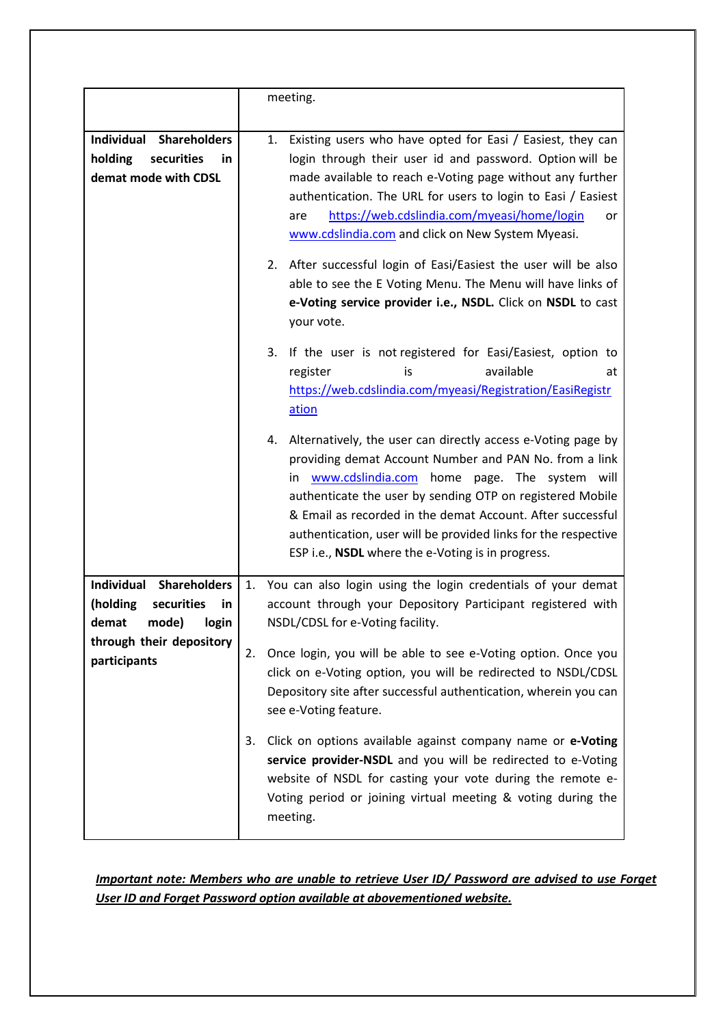|                                                                                                 | meeting.                                                                                                                                                                                                                                                                                                                                                                                                                              |  |
|-------------------------------------------------------------------------------------------------|---------------------------------------------------------------------------------------------------------------------------------------------------------------------------------------------------------------------------------------------------------------------------------------------------------------------------------------------------------------------------------------------------------------------------------------|--|
| <b>Individual</b><br><b>Shareholders</b><br>securities<br>holding<br>in<br>demat mode with CDSL | Existing users who have opted for Easi / Easiest, they can<br>1.<br>login through their user id and password. Option will be<br>made available to reach e-Voting page without any further<br>authentication. The URL for users to login to Easi / Easiest<br>https://web.cdslindia.com/myeasi/home/login<br>are<br>or<br>www.cdslindia.com and click on New System Myeasi.                                                            |  |
|                                                                                                 | After successful login of Easi/Easiest the user will be also<br>2.<br>able to see the E Voting Menu. The Menu will have links of<br>e-Voting service provider i.e., NSDL. Click on NSDL to cast<br>your vote.                                                                                                                                                                                                                         |  |
|                                                                                                 | If the user is not registered for Easi/Easiest, option to<br>3.<br>available<br>register<br>is<br>at<br>https://web.cdslindia.com/myeasi/Registration/EasiRegistr<br>ation                                                                                                                                                                                                                                                            |  |
|                                                                                                 | Alternatively, the user can directly access e-Voting page by<br>4.<br>providing demat Account Number and PAN No. from a link<br>www.cdslindia.com home page. The system will<br>in.<br>authenticate the user by sending OTP on registered Mobile<br>& Email as recorded in the demat Account. After successful<br>authentication, user will be provided links for the respective<br>ESP i.e., NSDL where the e-Voting is in progress. |  |
| Individual<br><b>Shareholders</b><br>securities<br>(holding<br>in<br>mode)<br>demat<br>login    | 1. You can also login using the login credentials of your demat<br>account through your Depository Participant registered with<br>NSDL/CDSL for e-Voting facility.                                                                                                                                                                                                                                                                    |  |
| through their depository<br>participants                                                        | Once login, you will be able to see e-Voting option. Once you<br>2.<br>click on e-Voting option, you will be redirected to NSDL/CDSL<br>Depository site after successful authentication, wherein you can<br>see e-Voting feature.                                                                                                                                                                                                     |  |
|                                                                                                 | Click on options available against company name or e-Voting<br>3.<br>service provider-NSDL and you will be redirected to e-Voting<br>website of NSDL for casting your vote during the remote e-<br>Voting period or joining virtual meeting & voting during the<br>meeting.                                                                                                                                                           |  |

*Important note: Members who are unable to retrieve User ID/ Password are advised to use Forget User ID and Forget Password option available at abovementioned website.*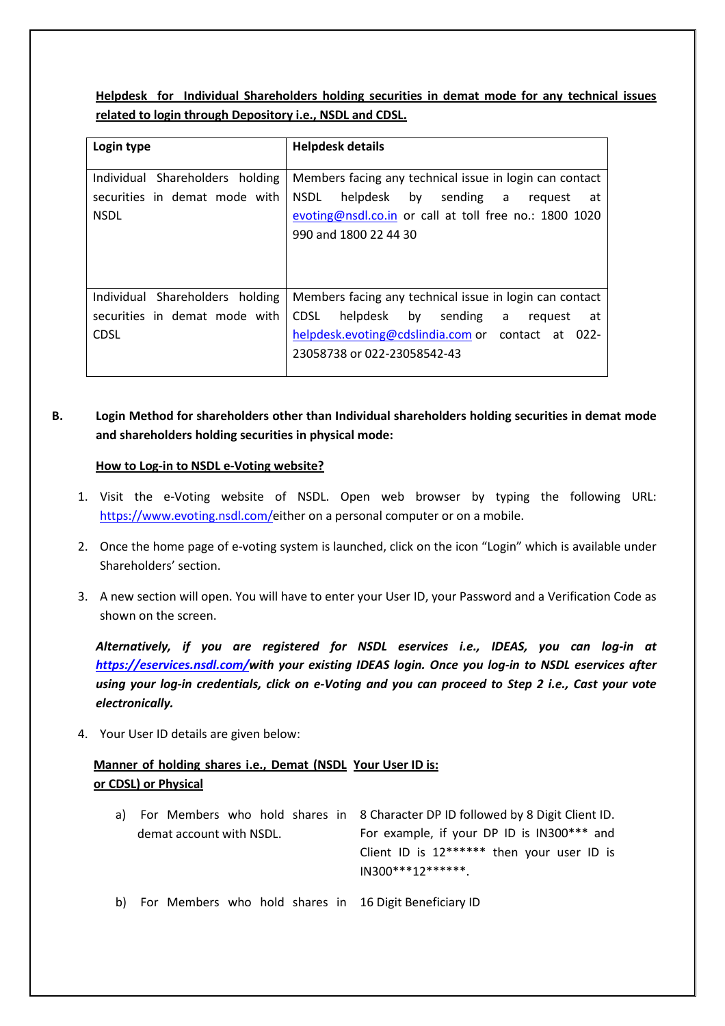**Helpdesk for Individual Shareholders holding securities in demat mode for any technical issues related to login through Depository i.e., NSDL and CDSL.**

| Login type                                                                      | <b>Helpdesk details</b>                                                                                                                                                                                          |
|---------------------------------------------------------------------------------|------------------------------------------------------------------------------------------------------------------------------------------------------------------------------------------------------------------|
| Individual Shareholders holding<br>securities in demat mode with<br><b>NSDL</b> | Members facing any technical issue in login can contact<br>helpdesk by<br><b>NSDL</b><br>sending a<br>request<br>at<br>evoting@nsdl.co.in or call at toll free no.: 1800 1020<br>990 and 1800 22 44 30           |
| Individual Shareholders holding<br>securities in demat mode with<br><b>CDSL</b> | Members facing any technical issue in login can contact<br>helpdesk by<br><b>CDSL</b><br>sending<br>a<br>request<br>at<br>helpdesk.evoting@cdslindia.com or contact at<br>$022 -$<br>23058738 or 022-23058542-43 |

# **B. Login Method for shareholders other than Individual shareholders holding securities in demat mode and shareholders holding securities in physical mode:**

#### **How to Log-in to NSDL e-Voting website?**

- 1. Visit the e-Voting website of NSDL. Open web browser by typing the following URL: https://www.evoting.nsdl.com/either on a personal computer or on a mobile.
- 2. Once the home page of e-voting system is launched, click on the icon "Login" which is available under Shareholders' section.
- 3. A new section will open. You will have to enter your User ID, your Password and a Verification Code as shown on the screen.

*Alternatively, if you are registered for NSDL eservices i.e., IDEAS, you can log-in at https://eservices.nsdl.com/with your existing IDEAS login. Once you log-in to NSDL eservices after using your log-in credentials, click on e-Voting and you can proceed to Step 2 i.e., Cast your vote electronically.* 

4. Your User ID details are given below:

### **Manner of holding shares i.e., Demat (NSDL Your User ID is: or CDSL) or Physical**

|                          |  | a) For Members who hold shares in 8 Character DP ID followed by 8 Digit Client ID. |
|--------------------------|--|------------------------------------------------------------------------------------|
| demat account with NSDL. |  | For example, if your DP ID is IN300*** and                                         |
|                          |  | Client ID is 12****** then your user ID is                                         |
|                          |  | $IN300***12******$                                                                 |
|                          |  |                                                                                    |

b) For Members who hold shares in 16 Digit Beneficiary ID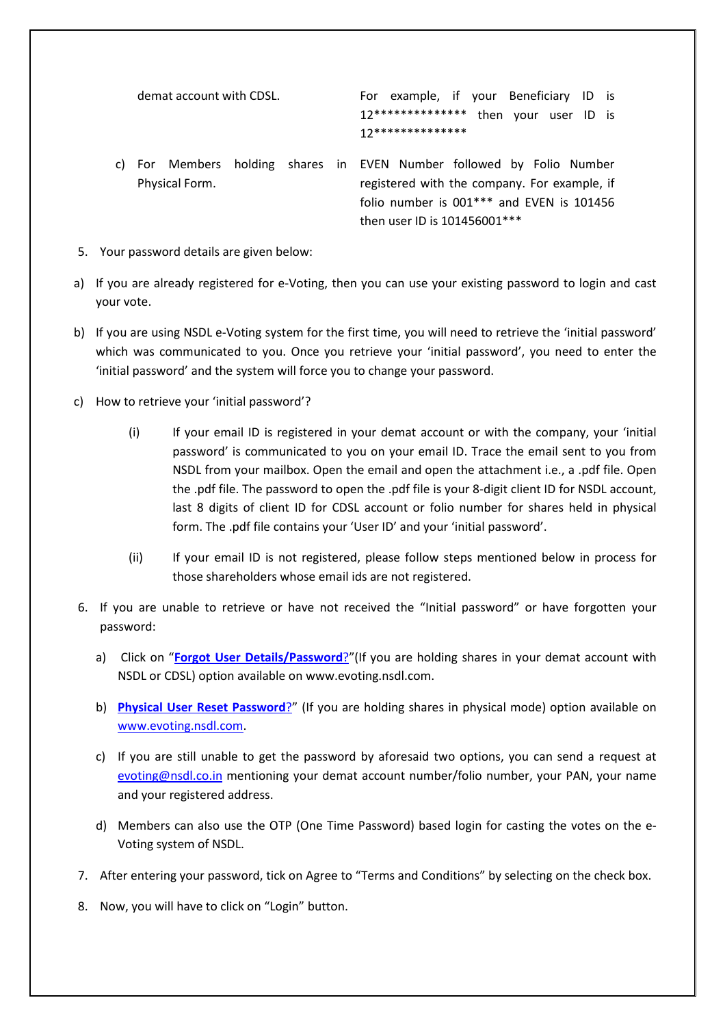| demat account with CDSL. | For example, if your Beneficiary ID is                                                                                                                                                            |
|--------------------------|---------------------------------------------------------------------------------------------------------------------------------------------------------------------------------------------------|
|                          | 17**************<br>then your user ID is                                                                                                                                                          |
|                          | 17**************                                                                                                                                                                                  |
| Physical Form.           | For Members holding shares in EVEN Number followed by Folio Number<br>registered with the company. For example, if<br>folio number is $001***$ and EVEN is 101456<br>then user ID is 101456001*** |

- 5. Your password details are given below:
- a) If you are already registered for e-Voting, then you can use your existing password to login and cast your vote.
- b) If you are using NSDL e-Voting system for the first time, you will need to retrieve the 'initial password' which was communicated to you. Once you retrieve your 'initial password', you need to enter the 'initial password' and the system will force you to change your password.
- c) How to retrieve your 'initial password'?
	- (i) If your email ID is registered in your demat account or with the company, your 'initial password' is communicated to you on your email ID. Trace the email sent to you from NSDL from your mailbox. Open the email and open the attachment i.e., a .pdf file. Open the .pdf file. The password to open the .pdf file is your 8-digit client ID for NSDL account, last 8 digits of client ID for CDSL account or folio number for shares held in physical form. The .pdf file contains your 'User ID' and your 'initial password'.
	- (ii) If your email ID is not registered, please follow steps mentioned below in process for those shareholders whose email ids are not registered.
- 6. If you are unable to retrieve or have not received the "Initial password" or have forgotten your password:
	- a) Click on "**Forgot User Details/Password**?"(If you are holding shares in your demat account with NSDL or CDSL) option available on www.evoting.nsdl.com.
	- b) **Physical User Reset Password**?" (If you are holding shares in physical mode) option available on www.evoting.nsdl.com.
	- c) If you are still unable to get the password by aforesaid two options, you can send a request at evoting@nsdl.co.in mentioning your demat account number/folio number, your PAN, your name and your registered address.
	- d) Members can also use the OTP (One Time Password) based login for casting the votes on the e-Voting system of NSDL.
- 7. After entering your password, tick on Agree to "Terms and Conditions" by selecting on the check box.
- 8. Now, you will have to click on "Login" button.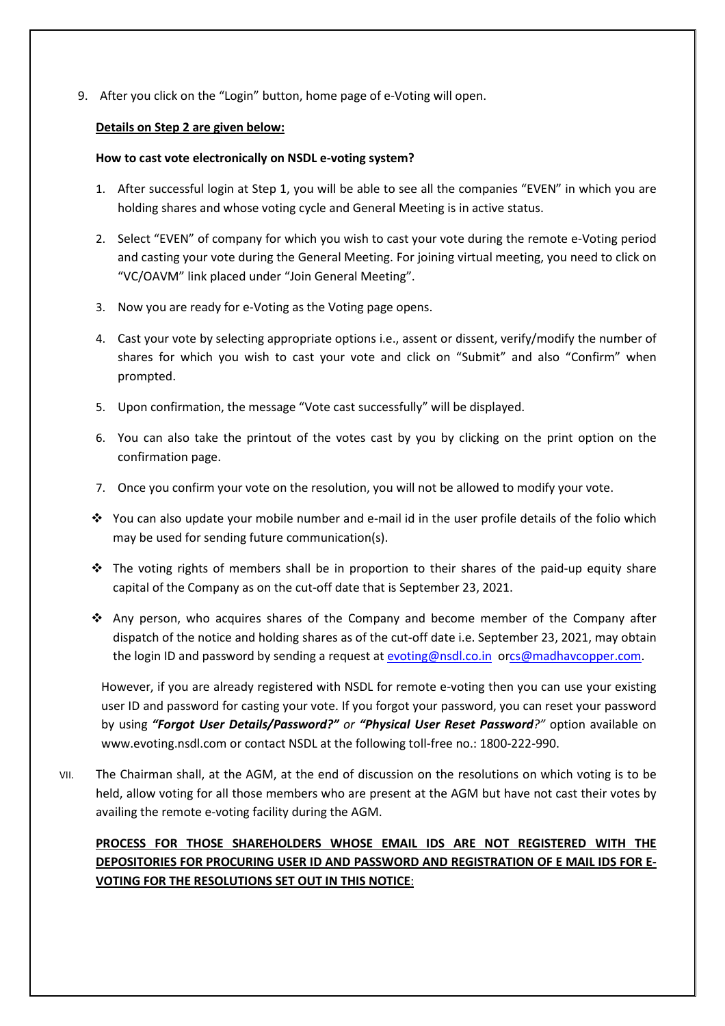9. After you click on the "Login" button, home page of e-Voting will open.

#### **Details on Step 2 are given below:**

### **How to cast vote electronically on NSDL e-voting system?**

- 1. After successful login at Step 1, you will be able to see all the companies "EVEN" in which you are holding shares and whose voting cycle and General Meeting is in active status.
- 2. Select "EVEN" of company for which you wish to cast your vote during the remote e-Voting period and casting your vote during the General Meeting. For joining virtual meeting, you need to click on "VC/OAVM" link placed under "Join General Meeting".
- 3. Now you are ready for e-Voting as the Voting page opens.
- 4. Cast your vote by selecting appropriate options i.e., assent or dissent, verify/modify the number of shares for which you wish to cast your vote and click on "Submit" and also "Confirm" when prompted.
- 5. Upon confirmation, the message "Vote cast successfully" will be displayed.
- 6. You can also take the printout of the votes cast by you by clicking on the print option on the confirmation page.
- 7. Once you confirm your vote on the resolution, you will not be allowed to modify your vote.
- $\cdot$  You can also update your mobile number and e-mail id in the user profile details of the folio which may be used for sending future communication(s).
- $\div$  The voting rights of members shall be in proportion to their shares of the paid-up equity share capital of the Company as on the cut-off date that is September 23, 2021.
- Any person, who acquires shares of the Company and become member of the Company after dispatch of the notice and holding shares as of the cut-off date i.e. September 23, 2021, may obtain the login ID and password by sending a request at evoting@nsdl.co.in orcs@madhavcopper.com.

However, if you are already registered with NSDL for remote e-voting then you can use your existing user ID and password for casting your vote. If you forgot your password, you can reset your password by using *"Forgot User Details/Password?" or "Physical User Reset Password?"* option available on www.evoting.nsdl.com or contact NSDL at the following toll-free no.: 1800-222-990.

VII. The Chairman shall, at the AGM, at the end of discussion on the resolutions on which voting is to be held, allow voting for all those members who are present at the AGM but have not cast their votes by availing the remote e-voting facility during the AGM.

# **PROCESS FOR THOSE SHAREHOLDERS WHOSE EMAIL IDS ARE NOT REGISTERED WITH THE DEPOSITORIES FOR PROCURING USER ID AND PASSWORD AND REGISTRATION OF E MAIL IDS FOR E-VOTING FOR THE RESOLUTIONS SET OUT IN THIS NOTICE**: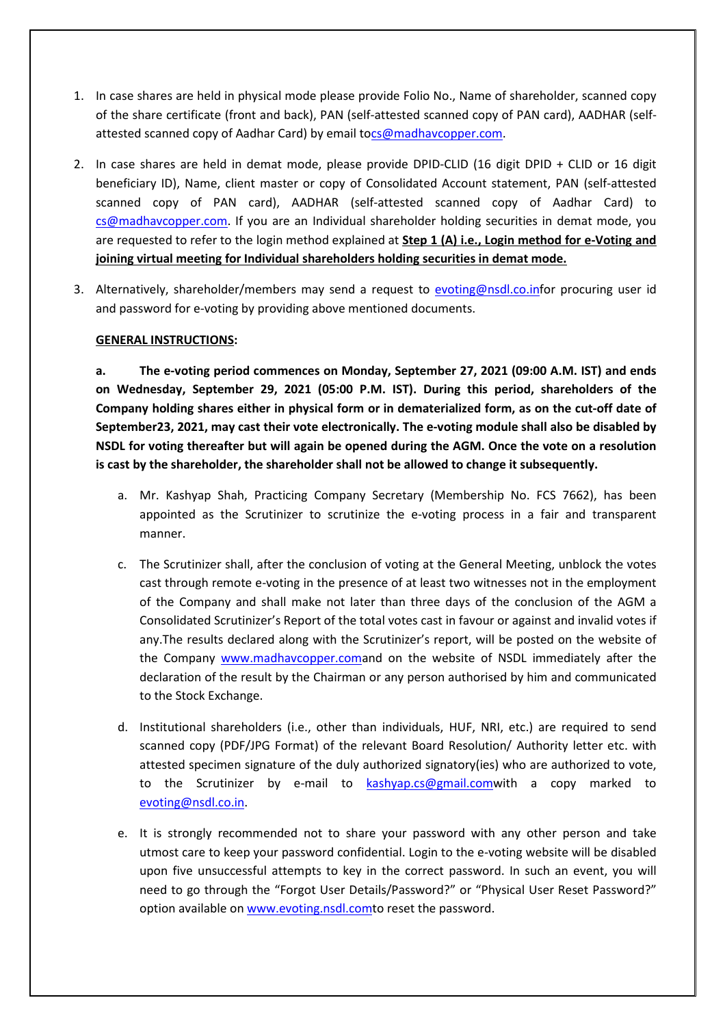- 1. In case shares are held in physical mode please provide Folio No., Name of shareholder, scanned copy of the share certificate (front and back), PAN (self-attested scanned copy of PAN card), AADHAR (selfattested scanned copy of Aadhar Card) by email tocs@madhavcopper.com.
- 2. In case shares are held in demat mode, please provide DPID-CLID (16 digit DPID + CLID or 16 digit beneficiary ID), Name, client master or copy of Consolidated Account statement, PAN (self-attested scanned copy of PAN card), AADHAR (self-attested scanned copy of Aadhar Card) to cs@madhavcopper.com. If you are an Individual shareholder holding securities in demat mode, you are requested to refer to the login method explained at **Step 1 (A) i.e., Login method for e-Voting and joining virtual meeting for Individual shareholders holding securities in demat mode.**
- 3. Alternatively, shareholder/members may send a request to evoting@nsdl.co.infor procuring user id and password for e-voting by providing above mentioned documents.

#### **GENERAL INSTRUCTIONS:**

**a. The e-voting period commences on Monday, September 27, 2021 (09:00 A.M. IST) and ends on Wednesday, September 29, 2021 (05:00 P.M. IST). During this period, shareholders of the Company holding shares either in physical form or in dematerialized form, as on the cut-off date of September23, 2021, may cast their vote electronically. The e-voting module shall also be disabled by NSDL for voting thereafter but will again be opened during the AGM. Once the vote on a resolution is cast by the shareholder, the shareholder shall not be allowed to change it subsequently.** 

- a. Mr. Kashyap Shah, Practicing Company Secretary (Membership No. FCS 7662), has been appointed as the Scrutinizer to scrutinize the e-voting process in a fair and transparent manner.
- c. The Scrutinizer shall, after the conclusion of voting at the General Meeting, unblock the votes cast through remote e-voting in the presence of at least two witnesses not in the employment of the Company and shall make not later than three days of the conclusion of the AGM a Consolidated Scrutinizer's Report of the total votes cast in favour or against and invalid votes if any.The results declared along with the Scrutinizer's report, will be posted on the website of the Company www.madhavcopper.comand on the website of NSDL immediately after the declaration of the result by the Chairman or any person authorised by him and communicated to the Stock Exchange.
- d. Institutional shareholders (i.e., other than individuals, HUF, NRI, etc.) are required to send scanned copy (PDF/JPG Format) of the relevant Board Resolution/ Authority letter etc. with attested specimen signature of the duly authorized signatory(ies) who are authorized to vote, to the Scrutinizer by e-mail to kashyap.cs@gmail.comwith a copy marked to evoting@nsdl.co.in.
- e. It is strongly recommended not to share your password with any other person and take utmost care to keep your password confidential. Login to the e-voting website will be disabled upon five unsuccessful attempts to key in the correct password. In such an event, you will need to go through the "Forgot User Details/Password?" or "Physical User Reset Password?" option available on www.evoting.nsdl.comto reset the password.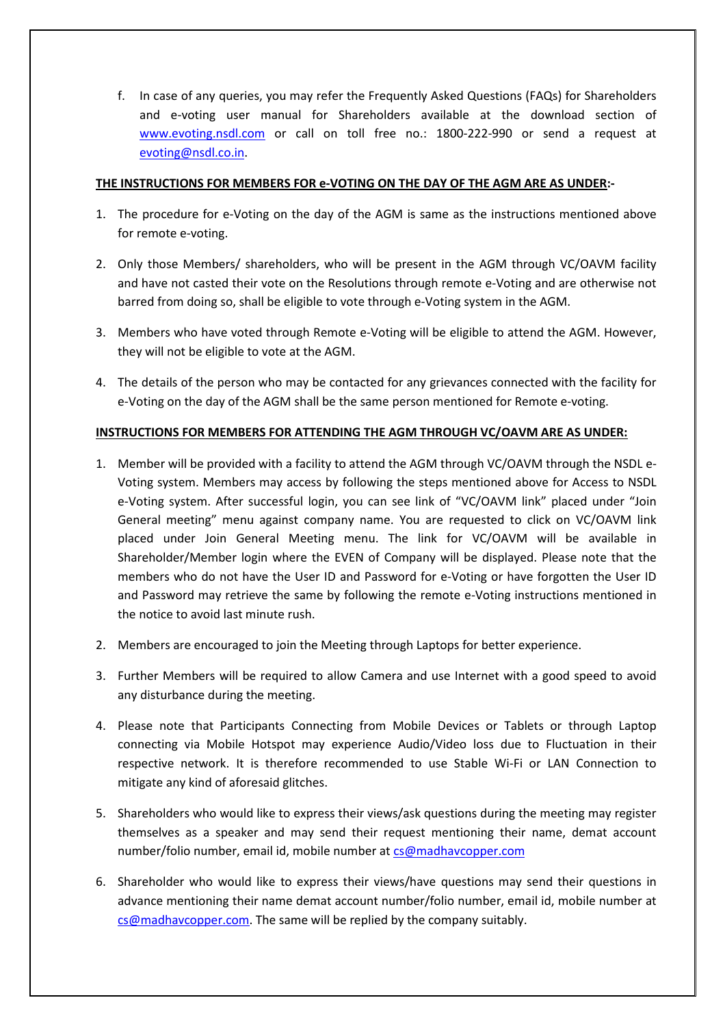f. In case of any queries, you may refer the Frequently Asked Questions (FAQs) for Shareholders and e-voting user manual for Shareholders available at the download section of www.evoting.nsdl.com or call on toll free no.: 1800-222-990 or send a request at evoting@nsdl.co.in.

### **THE INSTRUCTIONS FOR MEMBERS FOR e-VOTING ON THE DAY OF THE AGM ARE AS UNDER:-**

- 1. The procedure for e-Voting on the day of the AGM is same as the instructions mentioned above for remote e-voting.
- 2. Only those Members/ shareholders, who will be present in the AGM through VC/OAVM facility and have not casted their vote on the Resolutions through remote e-Voting and are otherwise not barred from doing so, shall be eligible to vote through e-Voting system in the AGM.
- 3. Members who have voted through Remote e-Voting will be eligible to attend the AGM. However, they will not be eligible to vote at the AGM.
- 4. The details of the person who may be contacted for any grievances connected with the facility for e-Voting on the day of the AGM shall be the same person mentioned for Remote e-voting.

### **INSTRUCTIONS FOR MEMBERS FOR ATTENDING THE AGM THROUGH VC/OAVM ARE AS UNDER:**

- 1. Member will be provided with a facility to attend the AGM through VC/OAVM through the NSDL e-Voting system. Members may access by following the steps mentioned above for Access to NSDL e-Voting system. After successful login, you can see link of "VC/OAVM link" placed under "Join General meeting" menu against company name. You are requested to click on VC/OAVM link placed under Join General Meeting menu. The link for VC/OAVM will be available in Shareholder/Member login where the EVEN of Company will be displayed. Please note that the members who do not have the User ID and Password for e-Voting or have forgotten the User ID and Password may retrieve the same by following the remote e-Voting instructions mentioned in the notice to avoid last minute rush.
- 2. Members are encouraged to join the Meeting through Laptops for better experience.
- 3. Further Members will be required to allow Camera and use Internet with a good speed to avoid any disturbance during the meeting.
- 4. Please note that Participants Connecting from Mobile Devices or Tablets or through Laptop connecting via Mobile Hotspot may experience Audio/Video loss due to Fluctuation in their respective network. It is therefore recommended to use Stable Wi-Fi or LAN Connection to mitigate any kind of aforesaid glitches.
- 5. Shareholders who would like to express their views/ask questions during the meeting may register themselves as a speaker and may send their request mentioning their name, demat account number/folio number, email id, mobile number at cs@madhavcopper.com
- 6. Shareholder who would like to express their views/have questions may send their questions in advance mentioning their name demat account number/folio number, email id, mobile number at cs@madhavcopper.com. The same will be replied by the company suitably.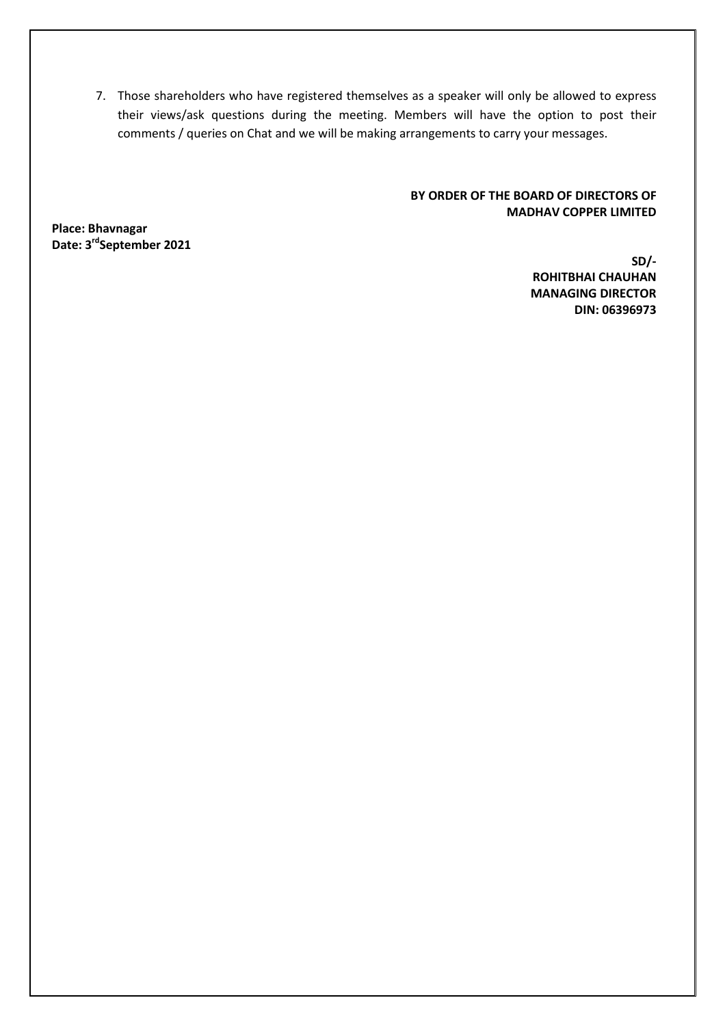7. Those shareholders who have registered themselves as a speaker will only be allowed to express their views/ask questions during the meeting. Members will have the option to post their comments / queries on Chat and we will be making arrangements to carry your messages.

### **BY ORDER OF THE BOARD OF DIRECTORS OF MADHAV COPPER LIMITED**

**Place: Bhavnagar Date: 3rdSeptember 2021** 

**SD/- ROHITBHAI CHAUHAN MANAGING DIRECTOR DIN: 06396973**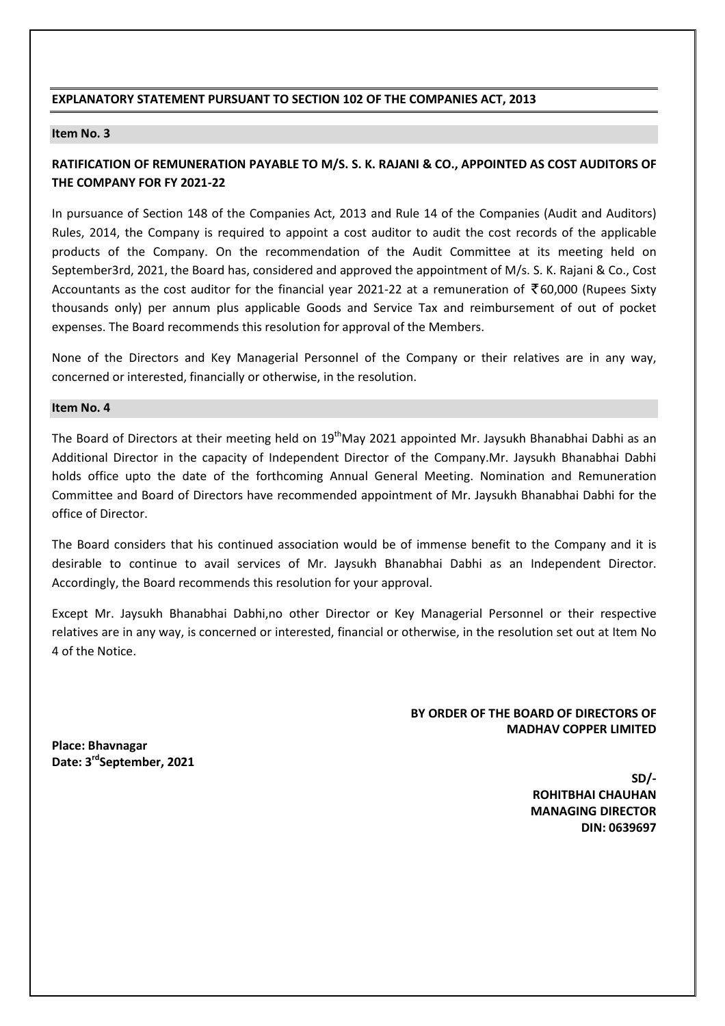#### **EXPLANATORY STATEMENT PURSUANT TO SECTION 102 OF THE COMPANIES ACT, 2013**

#### **Item No. 3**

## **RATIFICATION OF REMUNERATION PAYABLE TO M/S. S. K. RAJANI & CO., APPOINTED AS COST AUDITORS OF THE COMPANY FOR FY 2021-22**

In pursuance of Section 148 of the Companies Act, 2013 and Rule 14 of the Companies (Audit and Auditors) Rules, 2014, the Company is required to appoint a cost auditor to audit the cost records of the applicable products of the Company. On the recommendation of the Audit Committee at its meeting held on September3rd, 2021, the Board has, considered and approved the appointment of M/s. S. K. Rajani & Co., Cost Accountants as the cost auditor for the financial year 2021-22 at a remuneration of  $\bar{\tau}$ 60,000 (Rupees Sixty thousands only) per annum plus applicable Goods and Service Tax and reimbursement of out of pocket expenses. The Board recommends this resolution for approval of the Members.

None of the Directors and Key Managerial Personnel of the Company or their relatives are in any way, concerned or interested, financially or otherwise, in the resolution.

#### **Item No. 4**

The Board of Directors at their meeting held on 19<sup>th</sup>May 2021 appointed Mr. Jaysukh Bhanabhai Dabhi as an Additional Director in the capacity of Independent Director of the Company.Mr. Jaysukh Bhanabhai Dabhi holds office upto the date of the forthcoming Annual General Meeting. Nomination and Remuneration Committee and Board of Directors have recommended appointment of Mr. Jaysukh Bhanabhai Dabhi for the office of Director.

The Board considers that his continued association would be of immense benefit to the Company and it is desirable to continue to avail services of Mr. Jaysukh Bhanabhai Dabhi as an Independent Director. Accordingly, the Board recommends this resolution for your approval.

Except Mr. Jaysukh Bhanabhai Dabhi,no other Director or Key Managerial Personnel or their respective relatives are in any way, is concerned or interested, financial or otherwise, in the resolution set out at Item No 4 of the Notice.

### **BY ORDER OF THE BOARD OF DIRECTORS OF MADHAV COPPER LIMITED**

**Place: Bhavnagar Date: 3rdSeptember, 2021** 

> **SD/- ROHITBHAI CHAUHAN MANAGING DIRECTOR DIN: 0639697**